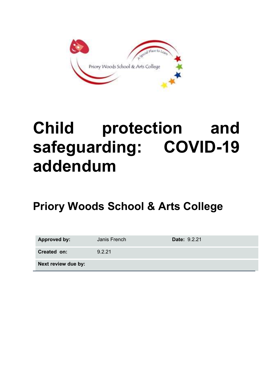

# Child protection and safeguarding: COVID-19 addendum

# Priory Woods School & Arts College

| <b>Approved by:</b> | Janis French | <b>Date: 9.2.21</b> |
|---------------------|--------------|---------------------|
| Created on:         | 9.2.21       |                     |
| Next review due by: |              |                     |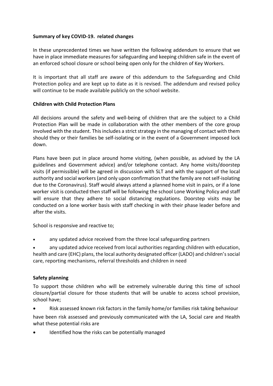# Summary of key COVID-19. related changes

In these unprecedented times we have written the following addendum to ensure that we have in place immediate measures for safeguarding and keeping children safe in the event of an enforced school closure or school being open only for the children of Key Workers.

It is important that all staff are aware of this addendum to the Safeguarding and Child Protection policy and are kept up to date as it is revised. The addendum and revised policy will continue to be made available publicly on the school website.

#### Children with Child Protection Plans

All decisions around the safety and well-being of children that are the subject to a Child Protection Plan will be made in collaboration with the other members of the core group involved with the student. This includes a strict strategy in the managing of contact with them should they or their families be self-isolating or in the event of a Government imposed lock down.

Plans have been put in place around home visiting, (when possible, as advised by the LA guidelines and Government advice) and/or telephone contact. Any home visits/doorstep visits (if permissible) will be agreed in discussion with SLT and with the support of the local authority and social workers (and only upon confirmation that the family are not self-isolating due to the Coronavirus). Staff would always attend a planned home visit in pairs, or if a lone worker visit is conducted then staff will be following the school Lone Working Policy and staff will ensure that they adhere to social distancing regulations. Doorstep visits may be conducted on a lone worker basis with staff checking in with their phase leader before and after the visits.

School is responsive and reactive to;

any updated advice received from the three local safeguarding partners

 any updated advice received from local authorities regarding children with education, health and care (EHC) plans, the local authority designated officer (LADO) and children's social care, reporting mechanisms, referral thresholds and children in need

# Safety planning

To support those children who will be extremely vulnerable during this time of school closure/partial closure for those students that will be unable to access school provision, school have;

Risk assessed known risk factors in the family home/or families risk taking behaviour

have been risk assessed and previously communicated with the LA, Social care and Health what these potential risks are

Identified how the risks can be potentially managed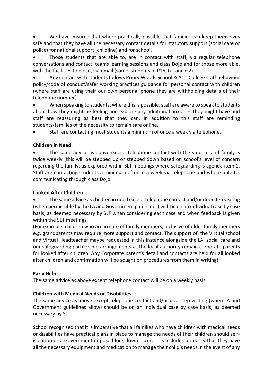We have ensured that where practically possible that families can keep themselves safe and that they have all the necessary contact details for statutory support (social care or police) for national support (childline) and for school.

 Those students that are able to, are in contact with staff, via regular telephone conversations and contact, teams learning sessions and class Dojo and for those more able, with the facilities to do so, via email (some students in P16, G1 and G2).

 Any contact with students follows Priory Woods School & Arts College staff behaviour policy/code of conduct/safer working practices guidance for personal contact with children (where staff are using their our own personal phone they are withholding details of their telephone number).

 When speaking to students, where this is possible, staff are aware to speak to students about how they might be feeling and explore any additional anxieties they might have and staff are reassuring as best that they can. In addition to this staff are reminding students/families of the necessity to remain safe online.

Staff are contacting most students a minimum of once a week via telephone.

# Children in Need

 The same advice as above except telephone contact with the student and family is twice weekly (this will be stepped up or stepped down based on school's level of concern regarding the family, as explored within SLT meetings where safeguarding is agenda item 1. Staff are contacting students a minimum of once a week via telephone and where able to, communicating through class Dojo.

# Looked After Children

• The same advice as children in need except telephone contact and/or doorstep visiting (when permissible by the LA and Government guidelines) will be on an individual case by case basis, as deemed necessary by SLT when considering each case and when feedback is given within the SLT meetings.

(For example, children who are in care of family members, inclusive of older family members e.g. grandparents may require more support and contact. The support of the Virtual school and Virtual Headteacher maybe requested in this instance alongside the LA, social care and our safeguarding partnership arrangements as the local authority remain corporate parents for looked after children. Any Corporate parent's detail and contacts are held for all looked after children and confirmation will be sought on procedures from them in writing).

# Early Help

The same advice as above except telephone contact will be on a weekly basis.

# Children with Medical Needs or Disabilities

The same advice as above except telephone contact and/or doorstep visiting (when LA and Government guidelines allow) should be on an individual case by case basis, as deemed necessary by SLT.

School recognised that it is imperative that all families who have children with medical needs or disabilities have practical plans in place to manage the needs of their children should selfisolation or a Government imposed lock down occur. This includes primarily that they have all the necessary equipment and medication to manage their child's needs in the event of any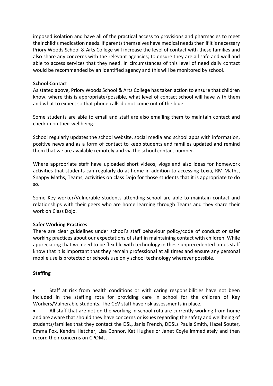imposed isolation and have all of the practical access to provisions and pharmacies to meet their child's medication needs. If parents themselves have medical needs then if it is necessary Priory Woods School & Arts College will increase the level of contact with these families and also share any concerns with the relevant agencies; to ensure they are all safe and well and able to access services that they need. In circumstances of this level of need daily contact would be recommended by an identified agency and this will be monitored by school.

#### School Contact

As stated above, Priory Woods School & Arts College has taken action to ensure that children know, where this is appropriate/possible, what level of contact school will have with them and what to expect so that phone calls do not come out of the blue.

Some students are able to email and staff are also emailing them to maintain contact and check in on their wellbeing.

School regularly updates the school website, social media and school apps with information, positive news and as a form of contact to keep students and families updated and remind them that we are available remotely and via the school contact number.

Where appropriate staff have uploaded short videos, vlogs and also ideas for homework activities that students can regularly do at home in addition to accessing Lexia, RM Maths, Snappy Maths, Teams, activities on class Dojo for those students that it is appropriate to do so.

Some Key worker/Vulnerable students attending school are able to maintain contact and relationships with their peers who are home learning through Teams and they share their work on Class Dojo.

# Safer Working Practices

There are clear guidelines under school's staff behaviour policy/code of conduct or safer working practices about our expectations of staff in maintaining contact with children. While appreciating that we need to be flexible with technology in these unprecedented times staff know that it is important that they remain professional at all times and ensure any personal mobile use is protected or schools use only school technology wherever possible.

# **Staffing**

 Staff at risk from health conditions or with caring responsibilities have not been included in the staffing rota for providing care in school for the children of Key Workers/Vulnerable students. The CEV staff have risk assessments in place.

 All staff that are not on the working in school rota are currently working from home and are aware that should they have concerns or issues regarding the safety and wellbeing of students/families that they contact the DSL, Janis French, DDSLs Paula Smith, Hazel Souter, Emma Fox, Kendra Hatcher, Lisa Connor, Kat Hughes or Janet Coyle immediately and then record their concerns on CPOMs.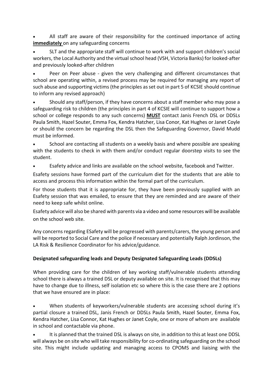All staff are aware of their responsibility for the continued importance of acting immediately on any safeguarding concerns

 SLT and the appropriate staff will continue to work with and support children's social workers, the Local Authority and the virtual school head (VSH, Victoria Banks) for looked-after and previously looked-after children

 Peer on Peer abuse - given the very challenging and different circumstances that school are operating within, a revised process may be required for managing any report of such abuse and supporting victims (the principles as set out in part 5 of KCSIE should continue to inform any revised approach)

 Should any staff/person, if they have concerns about a staff member who may pose a safeguarding risk to children (the principles in part 4 of KCSIE will continue to support how a school or college responds to any such concerns) MUST contact Janis French DSL or DDSLs Paula Smith, Hazel Souter, Emma Fox, Kendra Hatcher, Lisa Conor, Kat Hughes or Janet Coyle or should the concern be regarding the DSL then the Safeguarding Governor, David Mudd must be informed.

 School are contacting all students on a weekly basis and where possible are speaking with the students to check in with them and/or conduct regular doorstep visits to see the student.

Esafety advice and links are available on the school website, facebook and Twitter.

Esafety sessions have formed part of the curriculum diet for the students that are able to access and process this information within the formal part of the curriculum.

For those students that it is appropriate for, they have been previously supplied with an Esafety session that was emailed, to ensure that they are reminded and are aware of their need to keep safe whilst online.

Esafety advice will also be shared with parents via a video and some resources will be available on the school web site.

Any concerns regarding ESafety will be progressed with parents/carers, the young person and will be reported to Social Care and the police if necessary and potentially Ralph Jordinson, the LA Risk & Resilience Coordinator for his advice/guidance.

# Designated safeguarding leads and Deputy Designated Safeguarding Leads (DDSLs)

When providing care for the children of key working staff/vulnerable students attending school there is always a trained DSL or deputy available on site. It is recognised that this may have to change due to illness, self isolation etc so where this is the case there are 2 options that we have ensured are in place:

 When students of keyworkers/vulnerable students are accessing school during it's partial closure a trained DSL, Janis French or DDSLs Paula Smith, Hazel Souter, Emma Fox, Kendra Hatcher, Lisa Connor, Kat Hughes or Janet Coyle, one or more of whom are available in school and contactable via phone.

 It is planned that the trained DSL is always on site, in addition to this at least one DDSL will always be on site who will take responsibility for co-ordinating safeguarding on the school site. This might include updating and managing access to CPOMS and liaising with the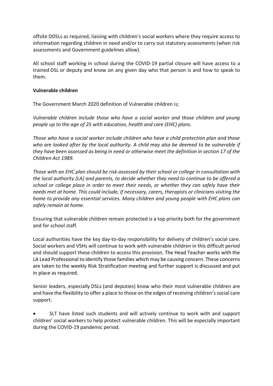offsite DDSLs as required, liaising with children's social workers where they require access to information regarding children in need and/or to carry out statutory assessments (when risk assessments and Government guidelines allow).

All school staff working in school during the COVID-19 partial closure will have access to a trained DSL or deputy and know on any given day who that person is and how to speak to them.

#### Vulnerable children

The Government March 2020 definition of Vulnerable children is;

Vulnerable children include those who have a social worker and those children and young people up to the age of 25 with education, health and care (EHC) plans.

Those who have a social worker include children who have a child protection plan and those who are looked after by the local authority. A child may also be deemed to be vulnerable if they have been assessed as being in need or otherwise meet the definition in section 17 of the Children Act 1989.

Those with an EHC plan should be risk-assessed by their school or college in consultation with the local authority (LA) and parents, to decide whether they need to continue to be offered a school or college place in order to meet their needs, or whether they can safely have their needs met at home. This could include, if necessary, carers, therapists or clinicians visiting the home to provide any essential services. Many children and young people with EHC plans can safely remain at home.

Ensuring that vulnerable children remain protected is a top priority both for the government and for school staff.

Local authorities have the key day-to-day responsibility for delivery of children's social care. Social workers and VSHs will continue to work with vulnerable children in this difficult period and should support these children to access this provision. The Head Teacher works with the LA Lead Professional to identify those families which may be causing concern. These concerns are taken to the weekly Risk Stratification meeting and further support is discussed and put in place as required.

Senior leaders, especially DSLs (and deputies) know who their most vulnerable children are and have the flexibility to offer a place to those on the edges of receiving children's social care support.

 SLT have listed such students and will actively continue to work with and support children' social workers to help protect vulnerable children. This will be especially important during the COVID-19 pandemic period.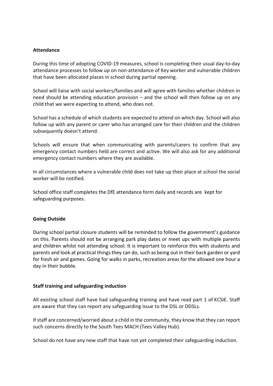#### Attendance

During this time of adopting COVID-19 measures, school is completing their usual day-to-day attendance processes to follow up on non-attendance of Key worker and vulnerable children that have been allocated places in school during partial opening.

School will liaise with social workers/families and will agree with families whether children in need should be attending education provision – and the school will then follow up on any child that we were expecting to attend, who does not.

School has a schedule of which students are expected to attend on which day. School will also follow up with any parent or carer who has arranged care for their children and the children subsequently doesn't attend.

Schools will ensure that when communicating with parents/carers to confirm that any emergency contact numbers held are correct and active. We will also ask for any additional emergency contact numbers where they are available.

In all circumstances where a vulnerable child does not take up their place at school the social worker will be notified.

School office staff completes the DfE attendance form daily and records are kept for safeguarding purposes.

#### Going Outside

During school partial closure students will be reminded to follow the government's guidance on this. Parents should not be arranging park play dates or meet ups with multiple parents and children whilst not attending school. It is important to reinforce this with students and parents and look at practical things they can do, such as being out in their back garden or yard for fresh air and games. Going for walks in parks, recreation areas for the allowed one hour a day in their bubble.

# Staff training and safeguarding induction

All existing school staff have had safeguarding training and have read part 1 of KCSIE. Staff are aware that they can report any safeguarding issue to the DSL or DDSLs.

If staff are concerned/worried about a child in the community, they know that they can report such concerns directly to the South Tees MACH (Tees Valley Hub).

School do not have any new staff that have not yet completed their safeguarding induction.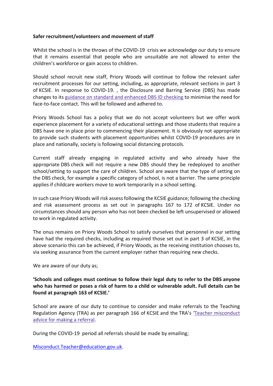#### Safer recruitment/volunteers and movement of staff

Whilst the school is in the throws of the COVID-19 crisis we acknowledge our duty to ensure that it remains essential that people who are unsuitable are not allowed to enter the children's workforce or gain access to children.

Should school recruit new staff, Priory Woods will continue to follow the relevant safer recruitment processes for our setting, including, as appropriate, relevant sections in part 3 of KCSIE. In response to COVID-19. , the Disclosure and Barring Service (DBS) has made changes to its guidance on standard and enhanced DBS ID checking to minimise the need for face-to-face contact. This will be followed and adhered to.

Priory Woods School has a policy that we do not accept volunteers but we offer work experience placement for a variety of educational settings and those students that require a DBS have one in place prior to commencing their placement. It is obviously not appropriate to provide such students with placement opportunities whilst COVID-19 procedures are in place and nationally, society is following social distancing protocols.

Current staff already engaging in regulated activity and who already have the appropriate DBS check will not require a new DBS should they be redeployed to another school/setting to support the care of children. School are aware that the type of setting on the DBS check, for example a specific category of school, is not a barrier. The same principle applies if childcare workers move to work temporarily in a school setting.

In such case Priory Woods will risk assess following the KCSIE guidance; following the checking and risk assessment process as set out in paragraphs 167 to 172 of KCSIE. Under no circumstances should any person who has not been checked be left unsupervised or allowed to work in regulated activity.

The onus remains on Priory Woods School to satisfy ourselves that personnel in our setting have had the required checks, including as required those set out in part 3 of KCSIE, in the above scenario this can be achieved, if Priory Woods, as the receiving institution chooses to, via seeking assurance from the current employer rather than requiring new checks.

We are aware of our duty as;

'Schools and colleges must continue to follow their legal duty to refer to the DBS anyone who has harmed or poses a risk of harm to a child or vulnerable adult. Full details can be found at paragraph 163 of KCSIE.'

School are aware of our duty to continue to consider and make referrals to the Teaching Regulation Agency (TRA) as per paragraph 166 of KCSIE and the TRA's 'Teacher misconduct advice for making a referral.

During the COVID-19 period all referrals should be made by emailing;

Misconduct.Teacher@education.gov.uk.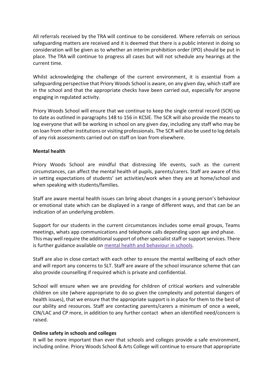All referrals received by the TRA will continue to be considered. Where referrals on serious safeguarding matters are received and it is deemed that there is a public interest in doing so consideration will be given as to whether an interim prohibition order (IPO) should be put in place. The TRA will continue to progress all cases but will not schedule any hearings at the current time.

Whilst acknowledging the challenge of the current environment, it is essential from a safeguarding perspective that Priory Woods School is aware, on any given day, which staff are in the school and that the appropriate checks have been carried out, especially for anyone engaging in regulated activity.

Priory Woods School will ensure that we continue to keep the single central record (SCR) up to date as outlined in paragraphs 148 to 156 in KCSIE. The SCR will also provide the means to log everyone that will be working in school on any given day, including any staff who may be on loan from other institutions or visiting professionals. The SCR will also be used to log details of any risk assessments carried out on staff on loan from elsewhere.

#### Mental health

Priory Woods School are mindful that distressing life events, such as the current circumstances, can affect the mental health of pupils, parents/carers. Staff are aware of this in setting expectations of students' set activities/work when they are at home/school and when speaking with students/families.

Staff are aware mental health issues can bring about changes in a young person's behaviour or emotional state which can be displayed in a range of different ways, and that can be an indication of an underlying problem.

Support for our students in the current circumstances includes some email groups, Teams meetings, whats app communications and telephone calls depending upon age and phase. This may well require the additional support of other specialist staff or support services. There is further guidance available on mental health and behaviour in schools.

Staff are also in close contact with each other to ensure the mental wellbeing of each other and will report any concerns to SLT. Staff are aware of the school insurance scheme that can also provide counselling if required which is private and confidential.

School will ensure when we are providing for children of critical workers and vulnerable children on site (where appropriate to do so given the complexity and potential dangers of health issues), that we ensure that the appropriate support is in place for them to the best of our ability and resources. Staff are contacting parents/carers a minimum of once a week, CIN/LAC and CP more, in addition to any further contact when an identified need/concern is raised.

#### Online safety in schools and colleges

It will be more important than ever that schools and colleges provide a safe environment, including online. Priory Woods School & Arts College will continue to ensure that appropriate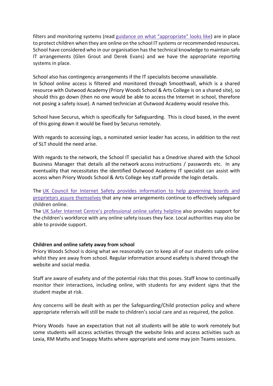filters and monitoring systems (read guidance on what "appropriate" looks like) are in place to protect children when they are online on the school IT systems or recommended resources. School have considered who in our organisation has the technical knowledge to maintain safe IT arrangements (Glen Grout and Derek Evans) and we have the appropriate reporting systems in place.

School also has contingency arrangements if the IT specialists become unavailable. In School online access is filtered and monitored through Smoothwall, which is a shared resource with Outwood Academy (Priory Woods School & Arts College is on a shared site), so should this go down (then no one would be able to access the Internet in school, therefore not posing a safety issue). A named technician at Outwood Academy would resolve this.

School have Securus, which is specifically for Safeguarding. This is cloud based, in the event of this going down it would be fixed by Securus remotely.

With regards to accessing logs, a nominated senior leader has access, in addition to the rest of SLT should the need arise.

With regards to the network, the School IT specialist has a Onedrive shared with the School Business Manager that details all the network access instructions / passwords etc. In any eventuality that necessitates the identified Outwood Academy IT specialist can assist with access when Priory Woods School & Arts College key staff provide the login details.

The UK Council for Internet Safety provides information to help governing boards and proprietors assure themselves that any new arrangements continue to effectively safeguard children online.

The UK Safer Internet Centre's professional online safety helpline also provides support for the children's workforce with any online safety issues they face. Local authorities may also be able to provide support.

#### Children and online safety away from school

Priory Woods School is doing what we reasonably can to keep all of our students safe online whilst they are away from school. Regular information around esafety is shared through the website and social media.

Staff are aware of esafety and of the potential risks that this poses. Staff know to continually monitor their interactions, including online, with students for any evident signs that the student maybe at risk.

Any concerns will be dealt with as per the Safeguarding/Child protection policy and where appropriate referrals will still be made to children's social care and as required, the police.

Priory Woods have an expectation that not all students will be able to work remotely but some students will access activities through the website links and access activities such as Lexia, RM Maths and Snappy Maths where appropriate and some may join Teams sessions.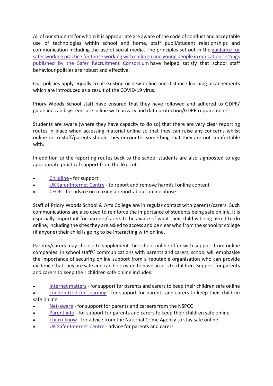All of our students for whom it is appropriate are aware of the code of conduct and acceptable use of technologies within school and home, staff pupil/student relationships and communication including the use of social media. The principles set out in the guidance for safer working practice for those working with children and young people in education settings published by the Safer Recruitment Consortium have helped satisfy that school staff behaviour policies are robust and effective.

Our policies apply equally to all existing or new online and distance learning arrangements which are introduced as a result of the COVID-19 virus.

Priory Woods School staff have ensured that they have followed and adhered to GDPR/ guidelines and systems are in line with privacy and data protection/GDPR requirements.

Students are aware (where they have capacity to do so) that there are very clear reporting routes in place when accessing material online so that they can raise any concerns whilst online or to staff/parents should they encounter something that they are not comfortable with.

In addition to the reporting routes back to the school students are also signposted to age appropriate practical support from the likes of:

- Childline for support
- UK Safer Internet Centre to report and remove harmful online content
- CEOP for advice on making a report about online abuse

Staff of Priory Woods School & Arts College are in regular contact with parents/carers. Such communications are also used to reinforce the importance of students being safe online. It is especially important for parents/carers to be aware of what their child is being asked to do online, including the sites they are asked to access and be clear who from the school or college (if anyone) their child is going to be interacting with online.

Parents/carers may choose to supplement the school online offer with support from online companies. In school staffs' communications with parents and carers, school will emphasise the importance of securing online support from a reputable organisation who can provide evidence that they are safe and can be trusted to have access to children. Support for parents and carers to keep their children safe online includes:

Internet matters - for support for parents and carers to keep their children safe online

 London Grid for Learning - for support for parents and carers to keep their children safe online

- Net-aware for support for parents and careers from the NSPCC
- Parent info for support for parents and carers to keep their children safe online
- Thinkuknow for advice from the National Crime Agency to stay safe online
- UK Safer Internet Centre advice for parents and carers